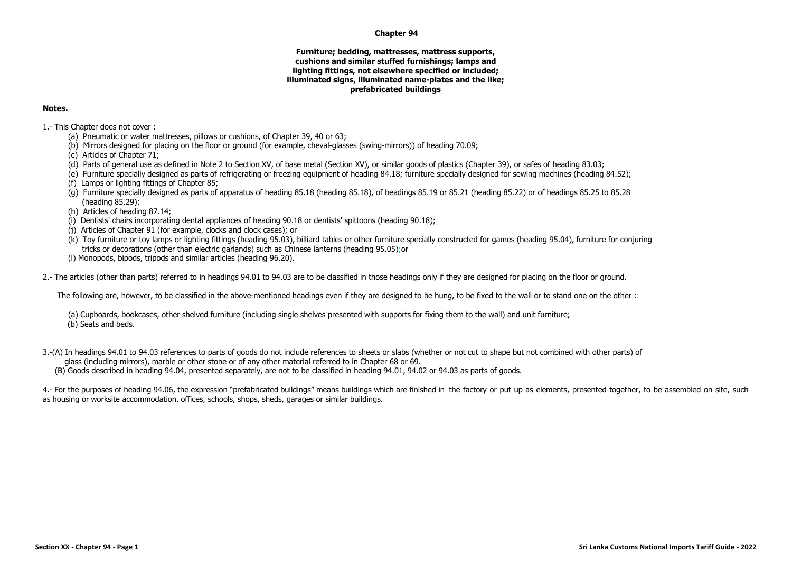## **Chapter 94**

## **Furniture; bedding, mattresses, mattress supports, cushions and similar stuffed furnishings; lamps and lighting fittings, not elsewhere specified or included; illuminated signs, illuminated name-plates and the like; prefabricated buildings**

## **Notes.**

1.- This Chapter does not cover :

- (a) Pneumatic or water mattresses, pillows or cushions, of Chapter 39, 40 or 63;
- (b) Mirrors designed for placing on the floor or ground (for example, cheval-glasses (swing-mirrors)) of heading 70.09;
- (c) Articles of Chapter 71;
- (d) Parts of general use as defined in Note 2 to Section XV, of base metal (Section XV), or similar goods of plastics (Chapter 39), or safes of heading 83.03;
- (e) Furniture specially designed as parts of refrigerating or freezing equipment of heading 84.18; furniture specially designed for sewing machines (heading 84.52);
- (f) Lamps or lighting fittings of Chapter 85;
- (g) Furniture specially designed as parts of apparatus of heading 85.18 (heading 85.18), of headings 85.19 or 85.21 (heading 85.22) or of headings 85.25 to 85.28 (heading 85.29);
- (h) Articles of heading 87.14;
- (i) Dentists' chairs incorporating dental appliances of heading 90.18 or dentists' spittoons (heading 90.18);
- (j) Articles of Chapter 91 (for example, clocks and clock cases); or
- (k) Toy furniture or toy lamps or lighting fittings (heading 95.03), billiard tables or other furniture specially constructed for games (heading 95.04), furniture for conjuring tricks or decorations (other than electric garlands) such as Chinese lanterns (heading 95.05);or
- (l) Monopods, bipods, tripods and similar articles (heading 96.20).

2.- The articles (other than parts) referred to in headings 94.01 to 94.03 are to be classified in those headings only if they are designed for placing on the floor or ground.

The following are, however, to be classified in the above-mentioned headings even if they are designed to be hung, to be fixed to the wall or to stand one on the other :

- (a) Cupboards, bookcases, other shelved furniture (including single shelves presented with supports for fixing them to the wall) and unit furniture; (b) Seats and beds.
- 3.-(A) In headings 94.01 to 94.03 references to parts of goods do not include references to sheets or slabs (whether or not cut to shape but not combined with other parts) of glass (including mirrors), marble or other stone or of any other material referred to in Chapter 68 or 69. (B) Goods described in heading 94.04, presented separately, are not to be classified in heading 94.01, 94.02 or 94.03 as parts of goods.

4.- For the purposes of heading 94.06, the expression "prefabricated buildings" means buildings which are finished in the factory or put up as elements, presented together, to be assembled on site, such as housing or worksite accommodation, offices, schools, shops, sheds, garages or similar buildings.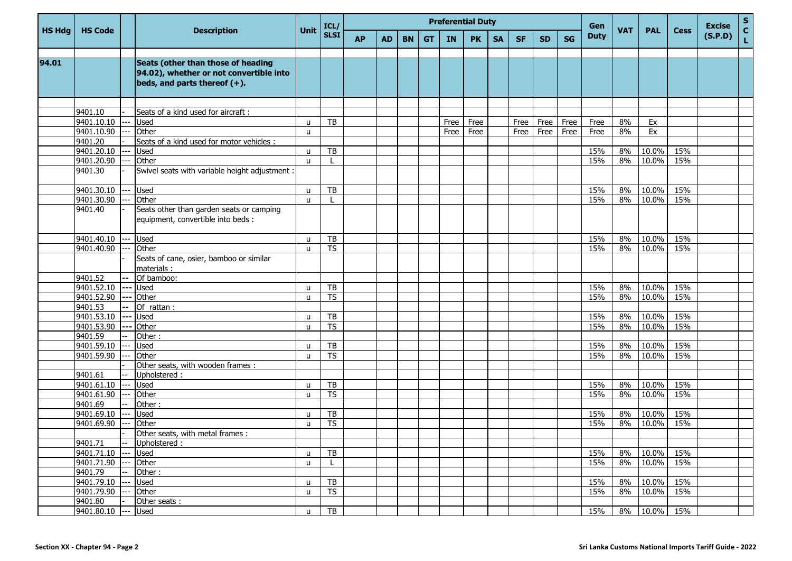|               |                       |             |                                                                                                                  |               | ICL/                     | <b>Preferential Duty</b> |           |           |           |      |           |           |           |           |           | Gen         |            |                     |             | <b>Excise</b> | ${\sf s}$          |
|---------------|-----------------------|-------------|------------------------------------------------------------------------------------------------------------------|---------------|--------------------------|--------------------------|-----------|-----------|-----------|------|-----------|-----------|-----------|-----------|-----------|-------------|------------|---------------------|-------------|---------------|--------------------|
| <b>HS Hdg</b> | <b>HS Code</b>        |             | <b>Description</b>                                                                                               | <b>Unit</b>   | <b>SLSI</b>              | <b>AP</b>                | <b>AD</b> | <b>BN</b> | <b>GT</b> | IN   | <b>PK</b> | <b>SA</b> | <b>SF</b> | <b>SD</b> | <b>SG</b> | <b>Duty</b> | <b>VAT</b> | <b>PAL</b>          | <b>Cess</b> | (S.P.D)       | $\mathbf{C}$<br>L. |
|               |                       |             |                                                                                                                  |               |                          |                          |           |           |           |      |           |           |           |           |           |             |            |                     |             |               |                    |
| 94.01         |                       |             | Seats (other than those of heading<br>94.02), whether or not convertible into<br>beds, and parts thereof $(+)$ . |               |                          |                          |           |           |           |      |           |           |           |           |           |             |            |                     |             |               |                    |
|               |                       |             |                                                                                                                  |               |                          |                          |           |           |           |      |           |           |           |           |           |             |            |                     |             |               |                    |
|               | 9401.10               |             | Seats of a kind used for aircraft :                                                                              |               |                          |                          |           |           |           |      |           |           |           |           |           |             |            |                     |             |               |                    |
|               | 9401.10.10 --- Used   |             |                                                                                                                  | u             | TB                       |                          |           |           |           | Free | Free      |           | Free      | Free      | Free      | Free        | 8%         | Ex                  |             |               |                    |
|               | 9401.10.90            |             | Other                                                                                                            | <b>u</b>      |                          |                          |           |           |           | Free | Free      |           | Free      | Free      | Free      | Free        | 8%         | Ex                  |             |               |                    |
|               | 9401.20               |             | Seats of a kind used for motor vehicles :                                                                        |               |                          |                          |           |           |           |      |           |           |           |           |           |             |            |                     |             |               |                    |
|               | 9401.20.10            |             | Used                                                                                                             | u             | TB                       |                          |           |           |           |      |           |           |           |           |           | 15%         | 8%         | 10.0%               | 15%         |               |                    |
|               | 9401.20.90            |             | Other                                                                                                            | $\mathbf{u}$  |                          |                          |           |           |           |      |           |           |           |           |           | 15%         | 8%         | 10.0%               | 15%         |               |                    |
|               | 9401.30               |             | Swivel seats with variable height adjustment :                                                                   |               |                          |                          |           |           |           |      |           |           |           |           |           |             |            |                     |             |               |                    |
|               | 9401.30.10            | $---$       | <b>Used</b>                                                                                                      | u             | TB                       |                          |           |           |           |      |           |           |           |           |           | 15%         | 8%         | 10.0%               | 15%         |               |                    |
|               | 9401.30.90            |             | Other                                                                                                            | <b>u</b>      |                          |                          |           |           |           |      |           |           |           |           |           | 15%         | 8%         | 10.0%               | 15%         |               |                    |
|               | 9401.40               |             | Seats other than garden seats or camping<br>equipment, convertible into beds :                                   |               |                          |                          |           |           |           |      |           |           |           |           |           |             |            |                     |             |               |                    |
|               | 9401.40.10            |             | Used                                                                                                             | u             | TB                       |                          |           |           |           |      |           |           |           |           |           | 15%         | 8%         | 10.0%               | 15%         |               |                    |
|               | 9401.40.90            |             | Other                                                                                                            | $\mathsf{u}$  | <b>TS</b>                |                          |           |           |           |      |           |           |           |           |           | 15%         | 8%         | 10.0%               | 15%         |               |                    |
|               |                       |             | Seats of cane, osier, bamboo or similar<br>materials:                                                            |               |                          |                          |           |           |           |      |           |           |           |           |           |             |            |                     |             |               |                    |
|               | 9401.52               | $\sim$      | Of bamboo:                                                                                                       |               |                          |                          |           |           |           |      |           |           |           |           |           |             |            |                     |             |               |                    |
|               | 9401.52.10 --- Used   |             |                                                                                                                  | u             | TB                       |                          |           |           |           |      |           |           |           |           |           | 15%         | 8%         | 10.0%               | 15%         |               |                    |
|               | 9401.52.90            |             | --- Other                                                                                                        | $\mathsf{u}$  | $\overline{\mathsf{TS}}$ |                          |           |           |           |      |           |           |           |           |           | 15%         | 8%         | $\overline{10.0\%}$ | 15%         |               |                    |
|               | 9401.53               | $--$        | Of rattan :                                                                                                      |               |                          |                          |           |           |           |      |           |           |           |           |           |             |            |                     |             |               |                    |
|               | 9401.53.10            | <b>1---</b> | Used                                                                                                             | u             | TB                       |                          |           |           |           |      |           |           |           |           |           | 15%         | 8%         | 10.0%               | 15%         |               |                    |
|               | 9401.53.90            | $---$       | Other                                                                                                            | <b>u</b>      | <b>TS</b>                |                          |           |           |           |      |           |           |           |           |           | 15%         | 8%         | 10.0%               | 15%         |               |                    |
|               | 9401.59               |             | Other:                                                                                                           |               |                          |                          |           |           |           |      |           |           |           |           |           |             |            |                     |             |               |                    |
|               | 9401.59.10            |             | <b>Used</b>                                                                                                      | u             | TB                       |                          |           |           |           |      |           |           |           |           |           | 15%         | 8%         | 10.0%               | 15%         |               |                    |
|               | 9401.59.90            |             | Other                                                                                                            | u             | <b>TS</b>                |                          |           |           |           |      |           |           |           |           |           | 15%         | 8%         | 10.0%               | 15%         |               |                    |
|               |                       |             | Other seats, with wooden frames :                                                                                |               |                          |                          |           |           |           |      |           |           |           |           |           |             |            |                     |             |               |                    |
|               | 9401.61               |             | Upholstered:                                                                                                     |               |                          |                          |           |           |           |      |           |           |           |           |           |             |            |                     |             |               |                    |
|               | 9401.61.10            | l – – –     | Used                                                                                                             | u             | TB                       |                          |           |           |           |      |           |           |           |           |           | 15%         | 8%         | 10.0%               | 15%         |               |                    |
|               | 9401.61.90            |             | Other                                                                                                            | u             | <b>TS</b>                |                          |           |           |           |      |           |           |           |           |           | 15%         | 8%         | 10.0%               | 15%         |               |                    |
|               | 9401.69               |             | Other:                                                                                                           |               |                          |                          |           |           |           |      |           |           |           |           |           |             |            |                     |             |               |                    |
|               | 9401.69.10            |             | <b>Used</b>                                                                                                      | u             | TB                       |                          |           |           |           |      |           |           |           |           |           | 15%         | 8%         | 10.0%               | 15%         |               |                    |
|               | 9401.69.90            |             | Other                                                                                                            | u             | <b>TS</b>                |                          |           |           |           |      |           |           |           |           |           | 15%         | 8%         | 10.0%               | 15%         |               |                    |
|               |                       |             | Other seats, with metal frames :                                                                                 |               |                          |                          |           |           |           |      |           |           |           |           |           |             |            |                     |             |               |                    |
|               | 9401.71               | $---$       | Upholstered:                                                                                                     |               |                          |                          |           |           |           |      |           |           |           |           |           |             |            |                     |             |               |                    |
|               | 9401.71.10            |             | --- Used                                                                                                         | u             | TB                       |                          |           |           |           |      |           |           |           |           |           | 15%         | 8%         | 10.0%               | 15%         |               |                    |
|               | 9401.71.90            |             | Other                                                                                                            | u             | L                        |                          |           |           |           |      |           |           |           |           |           | 15%         | 8%         | 10.0%               | 15%         |               |                    |
|               | 9401.79<br>9401.79.10 |             | Other:                                                                                                           |               |                          |                          |           |           |           |      |           |           |           |           |           | 15%         |            | $10.0\%$            | 15%         |               |                    |
|               | 9401.79.90            |             | <b>Used</b><br>Other                                                                                             | u<br><b>u</b> | TB<br><b>TS</b>          |                          |           |           |           |      |           |           |           |           |           | 15%         | 8%<br>8%   | 10.0%               | 15%         |               |                    |
|               | 9401.80               |             | Other seats:                                                                                                     |               |                          |                          |           |           |           |      |           |           |           |           |           |             |            |                     |             |               |                    |
|               | 9401.80.10            |             | <b>Used</b>                                                                                                      | u             | TB                       |                          |           |           |           |      |           |           |           |           |           | 15%         | 8%         | 10.0%               | 15%         |               |                    |
|               |                       |             |                                                                                                                  |               |                          |                          |           |           |           |      |           |           |           |           |           |             |            |                     |             |               |                    |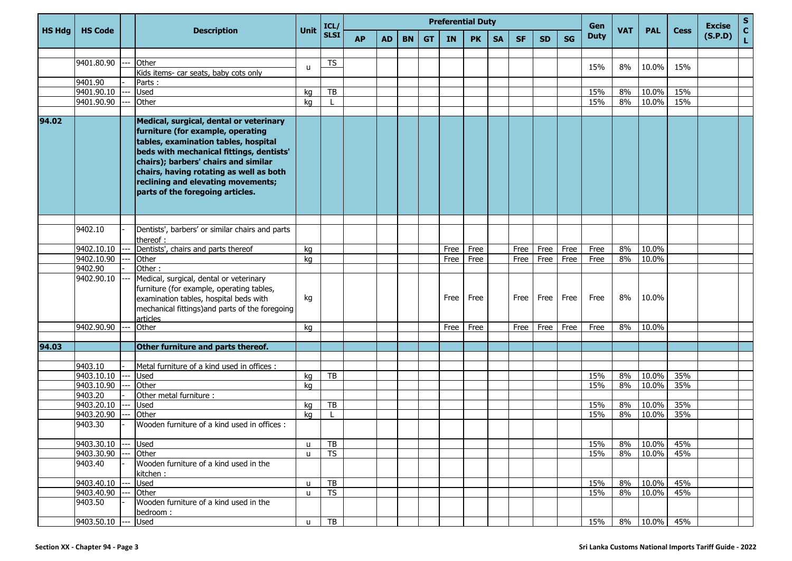|               |                |       |                                                                                                                                                                                                                                                                                                                               |              | ICL/        |           | <b>Preferential Duty</b><br>Gen |           |           |           |           |           |           |           |           |             |            | <b>Excise</b> | S           |         |                              |
|---------------|----------------|-------|-------------------------------------------------------------------------------------------------------------------------------------------------------------------------------------------------------------------------------------------------------------------------------------------------------------------------------|--------------|-------------|-----------|---------------------------------|-----------|-----------|-----------|-----------|-----------|-----------|-----------|-----------|-------------|------------|---------------|-------------|---------|------------------------------|
| <b>HS Hdg</b> | <b>HS Code</b> |       | <b>Description</b>                                                                                                                                                                                                                                                                                                            | Unit         | <b>SLSI</b> | <b>AP</b> | <b>AD</b>                       | <b>BN</b> | <b>GT</b> | <b>IN</b> | <b>PK</b> | <b>SA</b> | <b>SF</b> | <b>SD</b> | <b>SG</b> | <b>Duty</b> | <b>VAT</b> | <b>PAL</b>    | <b>Cess</b> | (S.P.D) | $\mathbf{C}$<br>$\mathbf{L}$ |
|               |                |       |                                                                                                                                                                                                                                                                                                                               |              |             |           |                                 |           |           |           |           |           |           |           |           |             |            |               |             |         |                              |
|               | 9401.80.90     |       | Other                                                                                                                                                                                                                                                                                                                         | u            | TS          |           |                                 |           |           |           |           |           |           |           |           | 15%         | 8%         | 10.0%         | 15%         |         |                              |
|               |                |       | Kids items- car seats, baby cots only                                                                                                                                                                                                                                                                                         |              |             |           |                                 |           |           |           |           |           |           |           |           |             |            |               |             |         |                              |
|               | 9401.90        |       | Parts:                                                                                                                                                                                                                                                                                                                        |              |             |           |                                 |           |           |           |           |           |           |           |           |             |            |               |             |         |                              |
|               | 9401.90.10     |       | <b>Used</b>                                                                                                                                                                                                                                                                                                                   | kg           | TB          |           |                                 |           |           |           |           |           |           |           |           | 15%         | 8%         | 10.0%         | 15%         |         |                              |
|               | 9401.90.90     |       | Other                                                                                                                                                                                                                                                                                                                         | kq           |             |           |                                 |           |           |           |           |           |           |           |           | 15%         | 8%         | 10.0%         | 15%         |         |                              |
| 94.02         |                |       | Medical, surgical, dental or veterinary<br>furniture (for example, operating<br>tables, examination tables, hospital<br>beds with mechanical fittings, dentists'<br>chairs); barbers' chairs and similar<br>chairs, having rotating as well as both<br>reclining and elevating movements;<br>parts of the foregoing articles. |              |             |           |                                 |           |           |           |           |           |           |           |           |             |            |               |             |         |                              |
|               |                |       |                                                                                                                                                                                                                                                                                                                               |              |             |           |                                 |           |           |           |           |           |           |           |           |             |            |               |             |         |                              |
|               | 9402.10        |       | Dentists', barbers' or similar chairs and parts<br>thereof:                                                                                                                                                                                                                                                                   |              |             |           |                                 |           |           |           |           |           |           |           |           |             |            |               |             |         |                              |
|               | 9402.10.10     |       | Dentists', chairs and parts thereof                                                                                                                                                                                                                                                                                           | kg           |             |           |                                 |           |           | Free      | Free      |           | Free      | Free      | Free      | Free        | 8%         | 10.0%         |             |         |                              |
|               | 9402.10.90     |       | Other                                                                                                                                                                                                                                                                                                                         | kg           |             |           |                                 |           |           | Free      | Free      |           | Free      | Free      | Free      | Free        | 8%         | 10.0%         |             |         |                              |
|               | 9402.90        |       | Other:                                                                                                                                                                                                                                                                                                                        |              |             |           |                                 |           |           |           |           |           |           |           |           |             |            |               |             |         |                              |
|               | 9402.90.10     |       | Medical, surgical, dental or veterinary<br>furniture (for example, operating tables,<br>examination tables, hospital beds with<br>mechanical fittings) and parts of the foregoing<br>articles                                                                                                                                 | kg           |             |           |                                 |           |           | Free      | Free      |           | Free      | Free      | Free      | Free        | 8%         | 10.0%         |             |         |                              |
|               | 9402.90.90     |       | Other                                                                                                                                                                                                                                                                                                                         | kg           |             |           |                                 |           |           | Free      | Free      |           | Free      | Free      | Free      | Free        | 8%         | 10.0%         |             |         |                              |
| 94.03         |                |       |                                                                                                                                                                                                                                                                                                                               |              |             |           |                                 |           |           |           |           |           |           |           |           |             |            |               |             |         |                              |
|               |                |       | Other furniture and parts thereof.                                                                                                                                                                                                                                                                                            |              |             |           |                                 |           |           |           |           |           |           |           |           |             |            |               |             |         |                              |
|               | 9403.10        |       | Metal furniture of a kind used in offices :                                                                                                                                                                                                                                                                                   |              |             |           |                                 |           |           |           |           |           |           |           |           |             |            |               |             |         |                              |
|               | 9403.10.10     | $- -$ | <b>Used</b>                                                                                                                                                                                                                                                                                                                   | kg           | TB          |           |                                 |           |           |           |           |           |           |           |           | 15%         | 8%         | 10.0%         | 35%         |         |                              |
|               | 9403.10.90     |       | Other                                                                                                                                                                                                                                                                                                                         | kg           |             |           |                                 |           |           |           |           |           |           |           |           | 15%         | 8%         | 10.0%         | 35%         |         |                              |
|               | 9403.20        |       | Other metal furniture :                                                                                                                                                                                                                                                                                                       |              |             |           |                                 |           |           |           |           |           |           |           |           |             |            |               |             |         |                              |
|               | 9403.20.10     |       | <b>Used</b>                                                                                                                                                                                                                                                                                                                   | kg           | TB          |           |                                 |           |           |           |           |           |           |           |           | 15%         | 8%         | $10.0\%$      | 35%         |         |                              |
|               | 9403.20.90     |       | Other                                                                                                                                                                                                                                                                                                                         | ka           |             |           |                                 |           |           |           |           |           |           |           |           | 15%         | 8%         | 10.0%         | 35%         |         |                              |
|               | 9403.30        |       | Wooden furniture of a kind used in offices :                                                                                                                                                                                                                                                                                  |              |             |           |                                 |           |           |           |           |           |           |           |           |             |            |               |             |         |                              |
|               | 9403.30.10     | ---   | Used                                                                                                                                                                                                                                                                                                                          | u            | TB          |           |                                 |           |           |           |           |           |           |           |           | 15%         | 8%         | 10.0%         | 45%         |         |                              |
|               | 9403.30.90     |       | Other                                                                                                                                                                                                                                                                                                                         | u            | <b>TS</b>   |           |                                 |           |           |           |           |           |           |           |           | 15%         | 8%         | 10.0%         | 45%         |         |                              |
|               | 9403.40        |       | Wooden furniture of a kind used in the<br>kitchen:                                                                                                                                                                                                                                                                            |              |             |           |                                 |           |           |           |           |           |           |           |           |             |            |               |             |         |                              |
|               | 9403.40.10     |       | Used                                                                                                                                                                                                                                                                                                                          | $\mathsf{u}$ | TB          |           |                                 |           |           |           |           |           |           |           |           | 15%         | 8%         | 10.0%         | 45%         |         |                              |
|               | 9403.40.90     |       | Other                                                                                                                                                                                                                                                                                                                         | <b>u</b>     | <b>TS</b>   |           |                                 |           |           |           |           |           |           |           |           | 15%         | 8%         | 10.0%         | 45%         |         |                              |
|               | 9403.50        |       | Wooden furniture of a kind used in the<br>bedroom:                                                                                                                                                                                                                                                                            |              |             |           |                                 |           |           |           |           |           |           |           |           |             |            |               |             |         |                              |
|               | 9403.50.10     | ---   | <b>Used</b>                                                                                                                                                                                                                                                                                                                   | $\mathsf{u}$ | TB          |           |                                 |           |           |           |           |           |           |           |           | 15%         | 8%         | 10.0% 45%     |             |         |                              |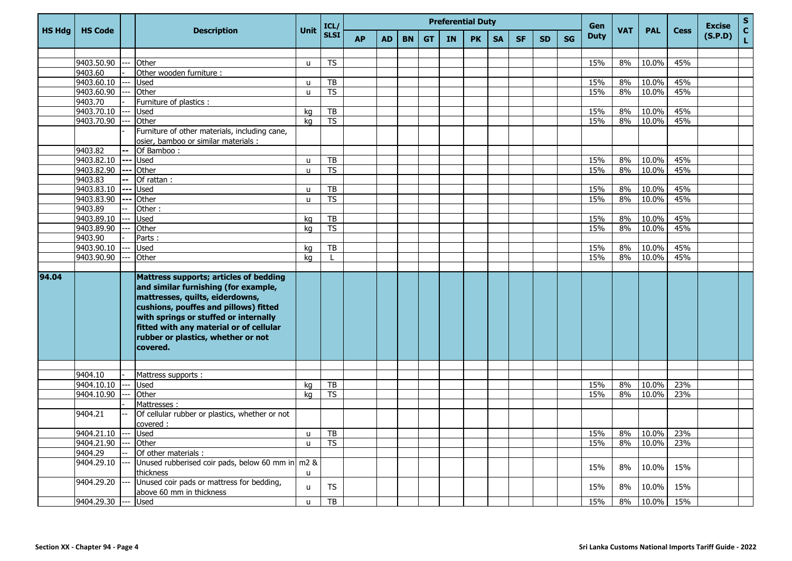|               |                  |                     |                                                  |              | ICL/                     |           | <b>Preferential Duty</b><br>Gen |           |           |    |           |           |           |           |           |             |            | <b>Excise</b> | ${\sf s}$   |         |                    |
|---------------|------------------|---------------------|--------------------------------------------------|--------------|--------------------------|-----------|---------------------------------|-----------|-----------|----|-----------|-----------|-----------|-----------|-----------|-------------|------------|---------------|-------------|---------|--------------------|
| <b>HS Hdg</b> | <b>HS Code</b>   |                     | <b>Description</b>                               | <b>Unit</b>  | <b>SLSI</b>              | <b>AP</b> | <b>AD</b>                       | <b>BN</b> | <b>GT</b> | IN | <b>PK</b> | <b>SA</b> | <b>SF</b> | <b>SD</b> | <b>SG</b> | <b>Duty</b> | <b>VAT</b> | <b>PAL</b>    | <b>Cess</b> | (S.P.D) | $\mathbf{C}$<br>L. |
|               |                  |                     |                                                  |              |                          |           |                                 |           |           |    |           |           |           |           |           |             |            |               |             |         |                    |
|               | 9403.50.90       |                     | Other                                            | $\mathsf{u}$ | <b>TS</b>                |           |                                 |           |           |    |           |           |           |           |           | 15%         | 8%         | 10.0%         | 45%         |         |                    |
|               | 9403.60          |                     | Other wooden furniture :                         |              |                          |           |                                 |           |           |    |           |           |           |           |           |             |            |               |             |         |                    |
|               | 9403.60.10       | $\qquad \qquad - -$ | Used                                             | u            | TB                       |           |                                 |           |           |    |           |           |           |           |           | 15%         | 8%         | 10.0%         | 45%         |         |                    |
|               | 9403.60.90       |                     | Other                                            | u            | $\overline{\mathsf{TS}}$ |           |                                 |           |           |    |           |           |           |           |           | 15%         | 8%         | 10.0%         | 45%         |         |                    |
|               | 9403.70          |                     | Furniture of plastics :                          |              |                          |           |                                 |           |           |    |           |           |           |           |           |             |            |               |             |         |                    |
|               | 9403.70.10       |                     | Used                                             | kg           | TB                       |           |                                 |           |           |    |           |           |           |           |           | 15%         | 8%         | 10.0%         | 45%         |         |                    |
|               | 9403.70.90       |                     | Other                                            | kg           | $\overline{TS}$          |           |                                 |           |           |    |           |           |           |           |           | 15%         | 8%         | 10.0%         | 45%         |         |                    |
|               |                  |                     | Furniture of other materials, including cane,    |              |                          |           |                                 |           |           |    |           |           |           |           |           |             |            |               |             |         |                    |
|               |                  |                     | osier, bamboo or similar materials :             |              |                          |           |                                 |           |           |    |           |           |           |           |           |             |            |               |             |         |                    |
|               | 9403.82          | н.                  | Of Bamboo:                                       |              |                          |           |                                 |           |           |    |           |           |           |           |           |             |            |               |             |         |                    |
|               | 9403.82.10       | $- - -$             | <b>Used</b>                                      | u            | TB                       |           |                                 |           |           |    |           |           |           |           |           | 15%         | 8%         | 10.0%         | 45%         |         |                    |
|               | $9403.82.90$ --- |                     | Other                                            | u            | $\overline{\mathsf{TS}}$ |           |                                 |           |           |    |           |           |           |           |           | 15%         | 8%         | 10.0%         | 45%         |         |                    |
|               | 9403.83          | ۰.                  | Of rattan:                                       |              |                          |           |                                 |           |           |    |           |           |           |           |           |             |            |               |             |         |                    |
|               | 9403.83.10       | ---                 | Used                                             | u            | TB                       |           |                                 |           |           |    |           |           |           |           |           | 15%         | 8%         | 10.0%         | 45%         |         |                    |
|               | 9403.83.90       |                     | Other                                            | u            | <b>TS</b>                |           |                                 |           |           |    |           |           |           |           |           | 15%         | 8%         | 10.0%         | 45%         |         |                    |
|               | 9403.89          |                     | Other:                                           |              |                          |           |                                 |           |           |    |           |           |           |           |           |             |            |               |             |         |                    |
|               | 9403.89.10       |                     | Used                                             | kq           | TB                       |           |                                 |           |           |    |           |           |           |           |           | 15%         | 8%         | $10.0\%$      | 45%         |         |                    |
|               | 9403.89.90       |                     | Other                                            | kg           | <b>TS</b>                |           |                                 |           |           |    |           |           |           |           |           | 15%         | 8%         | 10.0%         | 45%         |         |                    |
|               | 9403.90          |                     | Parts:                                           |              |                          |           |                                 |           |           |    |           |           |           |           |           |             |            |               |             |         |                    |
|               | 9403.90.10       |                     | Used                                             | kg           | TB                       |           |                                 |           |           |    |           |           |           |           |           | 15%         | 8%         | 10.0%         | 45%         |         |                    |
|               | 9403.90.90       |                     | Other                                            | kg           |                          |           |                                 |           |           |    |           |           |           |           |           | 15%         | 8%         | 10.0%         | 45%         |         |                    |
|               |                  |                     |                                                  |              |                          |           |                                 |           |           |    |           |           |           |           |           |             |            |               |             |         |                    |
| 94.04         |                  |                     | <b>Mattress supports; articles of bedding</b>    |              |                          |           |                                 |           |           |    |           |           |           |           |           |             |            |               |             |         |                    |
|               |                  |                     | and similar furnishing (for example,             |              |                          |           |                                 |           |           |    |           |           |           |           |           |             |            |               |             |         |                    |
|               |                  |                     | mattresses, quilts, eiderdowns,                  |              |                          |           |                                 |           |           |    |           |           |           |           |           |             |            |               |             |         |                    |
|               |                  |                     | cushions, pouffes and pillows) fitted            |              |                          |           |                                 |           |           |    |           |           |           |           |           |             |            |               |             |         |                    |
|               |                  |                     | with springs or stuffed or internally            |              |                          |           |                                 |           |           |    |           |           |           |           |           |             |            |               |             |         |                    |
|               |                  |                     | fitted with any material or of cellular          |              |                          |           |                                 |           |           |    |           |           |           |           |           |             |            |               |             |         |                    |
|               |                  |                     | rubber or plastics, whether or not               |              |                          |           |                                 |           |           |    |           |           |           |           |           |             |            |               |             |         |                    |
|               |                  |                     | covered.                                         |              |                          |           |                                 |           |           |    |           |           |           |           |           |             |            |               |             |         |                    |
|               |                  |                     |                                                  |              |                          |           |                                 |           |           |    |           |           |           |           |           |             |            |               |             |         |                    |
|               |                  |                     |                                                  |              |                          |           |                                 |           |           |    |           |           |           |           |           |             |            |               |             |         |                    |
|               | 9404.10          |                     | Mattress supports :                              |              |                          |           |                                 |           |           |    |           |           |           |           |           |             |            |               |             |         |                    |
|               | 9404.10.10       |                     | Used                                             | kq           | TB                       |           |                                 |           |           |    |           |           |           |           |           | 15%         | 8%         | 10.0%         | 23%         |         |                    |
|               | 9404.10.90       |                     | Other                                            | kg           | <b>TS</b>                |           |                                 |           |           |    |           |           |           |           |           | 15%         | 8%         | 10.0%         | 23%         |         |                    |
|               |                  |                     | Mattresses:                                      |              |                          |           |                                 |           |           |    |           |           |           |           |           |             |            |               |             |         |                    |
|               | 9404.21          |                     | Of cellular rubber or plastics, whether or not   |              |                          |           |                                 |           |           |    |           |           |           |           |           |             |            |               |             |         |                    |
|               |                  |                     | covered :                                        |              |                          |           |                                 |           |           |    |           |           |           |           |           |             |            |               |             |         |                    |
|               | $9404.21.10$ --- |                     | <b>Used</b>                                      | $\mathsf{u}$ | TB                       |           |                                 |           |           |    |           |           |           |           |           | 15%         | 8%         | 10.0%         | 23%         |         |                    |
|               | 9404.21.90       |                     | Other                                            | u            | <b>TS</b>                |           |                                 |           |           |    |           |           |           |           |           | 15%         | 8%         | 10.0%         | 23%         |         |                    |
|               | 9404.29          |                     | Of other materials :                             |              |                          |           |                                 |           |           |    |           |           |           |           |           |             |            |               |             |         |                    |
|               | 9404.29.10       |                     | Unused rubberised coir pads, below 60 mm in m2 & |              |                          |           |                                 |           |           |    |           |           |           |           |           | 15%         | 8%         | 10.0%         | 15%         |         |                    |
|               |                  |                     | thickness                                        | u            |                          |           |                                 |           |           |    |           |           |           |           |           |             |            |               |             |         |                    |
|               | 9404.29.20       |                     | Unused coir pads or mattress for bedding,        | $\mathsf{u}$ | <b>TS</b>                |           |                                 |           |           |    |           |           |           |           |           | 15%         | 8%         | 10.0%         | 15%         |         |                    |
|               |                  |                     | above 60 mm in thickness                         |              |                          |           |                                 |           |           |    |           |           |           |           |           |             |            |               |             |         |                    |
|               | 9404.29.30       |                     | Used                                             | u            | $\overline{AB}$          |           |                                 |           |           |    |           |           |           |           |           | 15%         | 8%         | 10.0%         | 15%         |         |                    |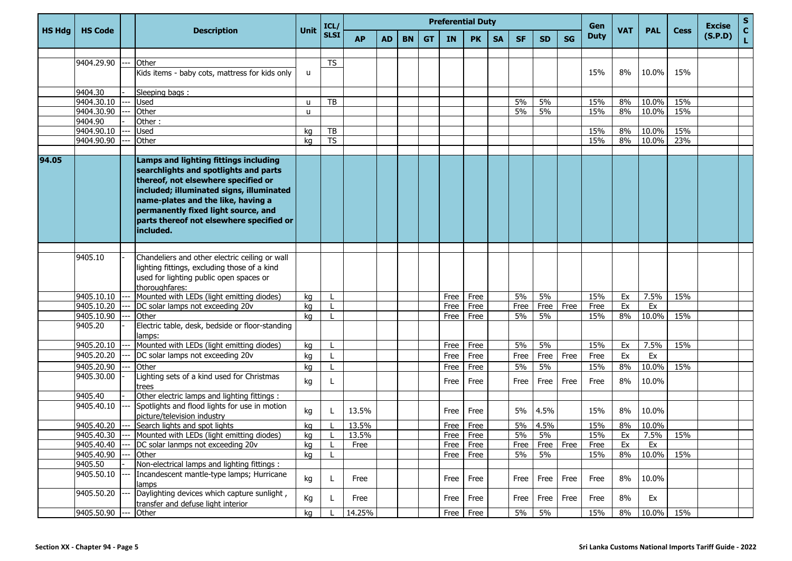|               |                  |                                                                                                                                                                                                                                                                                                         |              | ICL/        | <b>Preferential Duty</b> |           |           |           |           |               |           |           |           |           | Gen         |            |            |             | <b>Excise</b> | S                  |
|---------------|------------------|---------------------------------------------------------------------------------------------------------------------------------------------------------------------------------------------------------------------------------------------------------------------------------------------------------|--------------|-------------|--------------------------|-----------|-----------|-----------|-----------|---------------|-----------|-----------|-----------|-----------|-------------|------------|------------|-------------|---------------|--------------------|
| <b>HS Hdg</b> | <b>HS Code</b>   | <b>Description</b>                                                                                                                                                                                                                                                                                      | Unit         | <b>SLSI</b> | <b>AP</b>                | <b>AD</b> | <b>BN</b> | <b>GT</b> | <b>IN</b> | <b>PK</b>     | <b>SA</b> | <b>SF</b> | <b>SD</b> | <b>SG</b> | <b>Duty</b> | <b>VAT</b> | <b>PAL</b> | <b>Cess</b> | (S.P.D)       | $\mathbf{C}$<br>L. |
|               |                  |                                                                                                                                                                                                                                                                                                         |              |             |                          |           |           |           |           |               |           |           |           |           |             |            |            |             |               |                    |
|               | 9404.29.90       | Other                                                                                                                                                                                                                                                                                                   |              | <b>TS</b>   |                          |           |           |           |           |               |           |           |           |           |             |            |            |             |               |                    |
|               |                  | Kids items - baby cots, mattress for kids only                                                                                                                                                                                                                                                          | $\mathsf{u}$ |             |                          |           |           |           |           |               |           |           |           |           | 15%         | 8%         | 10.0%      | 15%         |               |                    |
|               | 9404.30          | Sleeping bags:                                                                                                                                                                                                                                                                                          |              |             |                          |           |           |           |           |               |           |           |           |           |             |            |            |             |               |                    |
|               | 9404.30.10       | <b>Used</b>                                                                                                                                                                                                                                                                                             | u            | TB          |                          |           |           |           |           |               |           | 5%        | 5%        |           | 15%         | 8%         | 10.0%      | 15%         |               |                    |
|               | 9404.30.90       | Other                                                                                                                                                                                                                                                                                                   | u            |             |                          |           |           |           |           |               |           | 5%        | 5%        |           | 15%         | 8%         | 10.0%      | 15%         |               |                    |
|               | 9404.90          | Other:                                                                                                                                                                                                                                                                                                  |              |             |                          |           |           |           |           |               |           |           |           |           |             |            |            |             |               |                    |
|               | 9404.90.10       | <b>Used</b>                                                                                                                                                                                                                                                                                             | kg           | TB          |                          |           |           |           |           |               |           |           |           |           | 15%         | 8%         | 10.0%      | 15%         |               |                    |
|               | 9404.90.90       | Other                                                                                                                                                                                                                                                                                                   | kg           | <b>TS</b>   |                          |           |           |           |           |               |           |           |           |           | 15%         | 8%         | 10.0%      | 23%         |               |                    |
| 94.05         |                  | Lamps and lighting fittings including<br>searchlights and spotlights and parts<br>thereof, not elsewhere specified or<br>included; illuminated signs, illuminated<br>name-plates and the like, having a<br>permanently fixed light source, and<br>parts thereof not elsewhere specified or<br>included. |              |             |                          |           |           |           |           |               |           |           |           |           |             |            |            |             |               |                    |
|               |                  |                                                                                                                                                                                                                                                                                                         |              |             |                          |           |           |           |           |               |           |           |           |           |             |            |            |             |               |                    |
|               | 9405.10          | Chandeliers and other electric ceiling or wall<br>lighting fittings, excluding those of a kind<br>used for lighting public open spaces or<br>thoroughfares:                                                                                                                                             |              |             |                          |           |           |           |           |               |           |           |           |           |             |            |            |             |               |                    |
|               | 9405.10.10       | Mounted with LEDs (light emitting diodes)                                                                                                                                                                                                                                                               | kg           |             |                          |           |           |           | Free      | Free          |           | 5%        | 5%        |           | 15%         | Ex         | 7.5%       | 15%         |               |                    |
|               | 9405.10.20       | DC solar lamps not exceeding 20v                                                                                                                                                                                                                                                                        | kg           |             |                          |           |           |           | Free      | Free          |           | Free      | Free      | Free      | Free        | Ex         | Ex         |             |               |                    |
|               | 9405.10.90       | Other                                                                                                                                                                                                                                                                                                   | kg           |             |                          |           |           |           | Free      | Free          |           | 5%        | 5%        |           | 15%         | 8%         | 10.0%      | 15%         |               |                    |
|               | 9405.20          | Electric table, desk, bedside or floor-standing<br>lamps:                                                                                                                                                                                                                                               |              |             |                          |           |           |           |           |               |           |           |           |           |             |            |            |             |               |                    |
|               | 9405.20.10       | Mounted with LEDs (light emitting diodes)                                                                                                                                                                                                                                                               | kg           |             |                          |           |           |           | Free      | Free          |           | 5%        | 5%        |           | 15%         | Ex         | 7.5%       | 15%         |               |                    |
|               | 9405.20.20       | DC solar lamps not exceeding 20v                                                                                                                                                                                                                                                                        | kg           |             |                          |           |           |           | Free      | Free          |           | Free      | Free      | Free      | Free        | Ex         | Ex         |             |               |                    |
|               | 9405.20.90       | Other                                                                                                                                                                                                                                                                                                   | kg           |             |                          |           |           |           | Free      | Free          |           | 5%        | 5%        |           | 15%         | 8%         | 10.0%      | 15%         |               |                    |
|               | 9405.30.00       | Lighting sets of a kind used for Christmas<br>trees                                                                                                                                                                                                                                                     | kg           |             |                          |           |           |           | Free      | Free          |           | Free      | Free      | Free      | Free        | 8%         | 10.0%      |             |               |                    |
|               | 9405.40          | Other electric lamps and lighting fittings :                                                                                                                                                                                                                                                            |              |             |                          |           |           |           |           |               |           |           |           |           |             |            |            |             |               |                    |
|               | 9405.40.10       | Spotlights and flood lights for use in motion<br>picture/television industry                                                                                                                                                                                                                            | kg           |             | 13.5%                    |           |           |           | Free      | Free          |           | 5%        | 4.5%      |           | 15%         | 8%         | 10.0%      |             |               |                    |
|               | 9405.40.20       | Search lights and spot lights                                                                                                                                                                                                                                                                           | kg           |             | 13.5%                    |           |           |           |           | Free Free     |           | 5%        | 4.5%      |           | 15%         | 8%         | 10.0%      |             |               |                    |
|               | $9405.40.30$ --- | Mounted with LEDs (light emitting diodes)                                                                                                                                                                                                                                                               | ka           |             | 13.5%                    |           |           |           |           | Free Free     |           | 5%        | 5%        |           | 15%         | Ex         | $7.5\%$    | 15%         |               |                    |
|               | 9405.40.40       | DC solar lanmps not exceeding 20v                                                                                                                                                                                                                                                                       | kg           |             | Free                     |           |           |           |           | Free Free     |           | Free      | Free      | Free      | Free        | Ex         | Ex         |             |               |                    |
|               | 9405.40.90       | Other                                                                                                                                                                                                                                                                                                   | kg           |             |                          |           |           |           |           | Free Free     |           | 5%        | 5%        |           | 15%         | 8%         | 10.0%      | 15%         |               |                    |
|               | 9405.50          | Non-electrical lamps and lighting fittings :                                                                                                                                                                                                                                                            |              |             |                          |           |           |           |           |               |           |           |           |           |             |            |            |             |               |                    |
|               | 9405.50.10       | Incandescent mantle-type lamps; Hurricane<br>lamps                                                                                                                                                                                                                                                      | kg           | L           | Free                     |           |           |           |           | Free Free     |           | Free      | Free      | Free      | Free        | 8%         | 10.0%      |             |               |                    |
|               | 9405.50.20       | Daylighting devices which capture sunlight,<br>transfer and defuse light interior                                                                                                                                                                                                                       | Кg           |             | Free                     |           |           |           | Free      | Free          |           | Free      | Free      | Free      | Free        | 8%         | Ex         |             |               |                    |
|               | 9405.50.90       | Other                                                                                                                                                                                                                                                                                                   | kg           |             | 14.25%                   |           |           |           |           | $Free$   Free |           | 5%        | 5%        |           | 15%         | 8%         | 10.0% 15%  |             |               |                    |